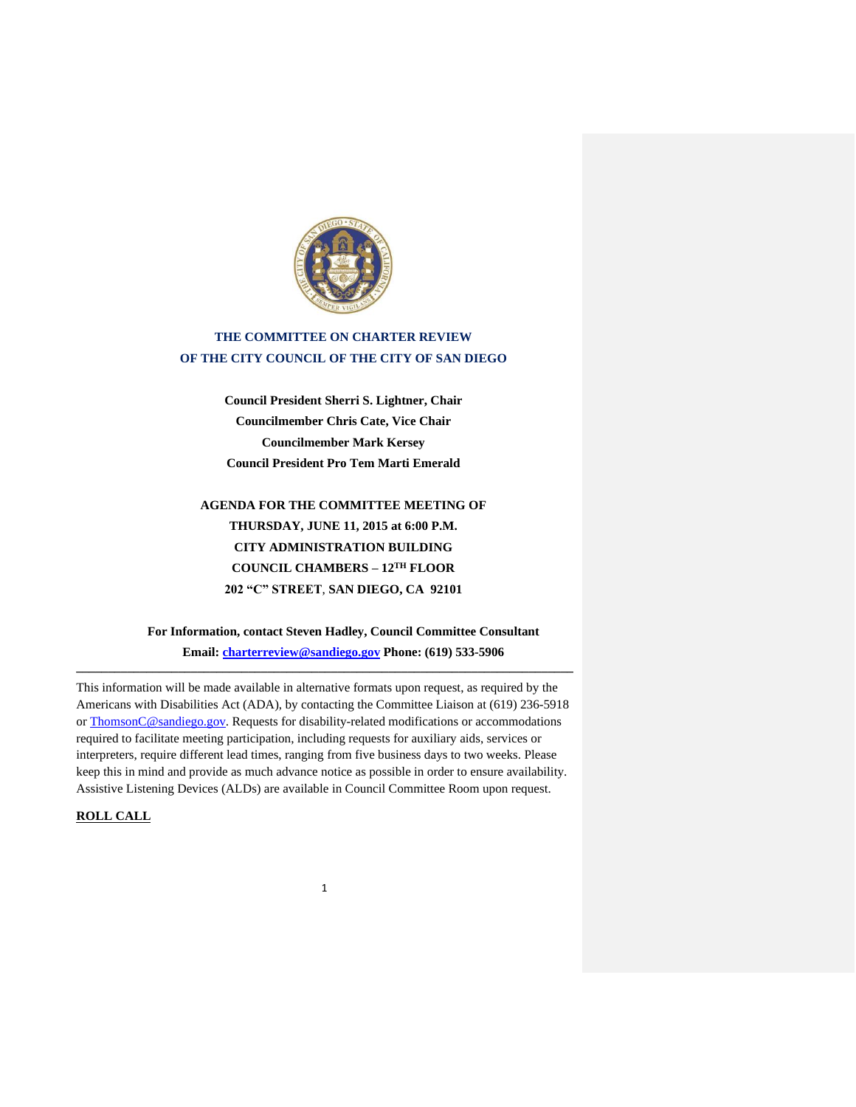

# **THE COMMITTEE ON CHARTER REVIEW OF THE CITY COUNCIL OF THE CITY OF SAN DIEGO**

**Council President Sherri S. Lightner, Chair Councilmember Chris Cate, Vice Chair Councilmember Mark Kersey Council President Pro Tem Marti Emerald**

**AGENDA FOR THE COMMITTEE MEETING OF THURSDAY, JUNE 11, 2015 at 6:00 P.M. CITY ADMINISTRATION BUILDING COUNCIL CHAMBERS – 12TH FLOOR 202 "C" STREET**, **SAN DIEGO, CA 92101**

**For Information, contact Steven Hadley, Council Committee Consultant Email: [charterreview@sandiego.gov](mailto:charterreview@sandiego.gov) Phone: (619) 533-5906** 

This information will be made available in alternative formats upon request, as required by the Americans with Disabilities Act (ADA), by contacting the Committee Liaison at (619) 236-5918 or ThomsonC@sandiego.gov. Requests for disability-related modifications or accommodations required to facilitate meeting participation, including requests for auxiliary aids, services or interpreters, require different lead times, ranging from five business days to two weeks. Please keep this in mind and provide as much advance notice as possible in order to ensure availability. Assistive Listening Devices (ALDs) are available in Council Committee Room upon request.

**\_\_\_\_\_\_\_\_\_\_\_\_\_\_\_\_\_\_\_\_\_\_\_\_\_\_\_\_\_\_\_\_\_\_\_\_\_\_\_\_\_\_\_\_\_\_\_\_\_\_\_\_\_\_\_\_\_\_\_\_\_\_\_\_\_\_\_\_\_\_\_\_\_\_\_\_\_\_**

1

## **ROLL CALL**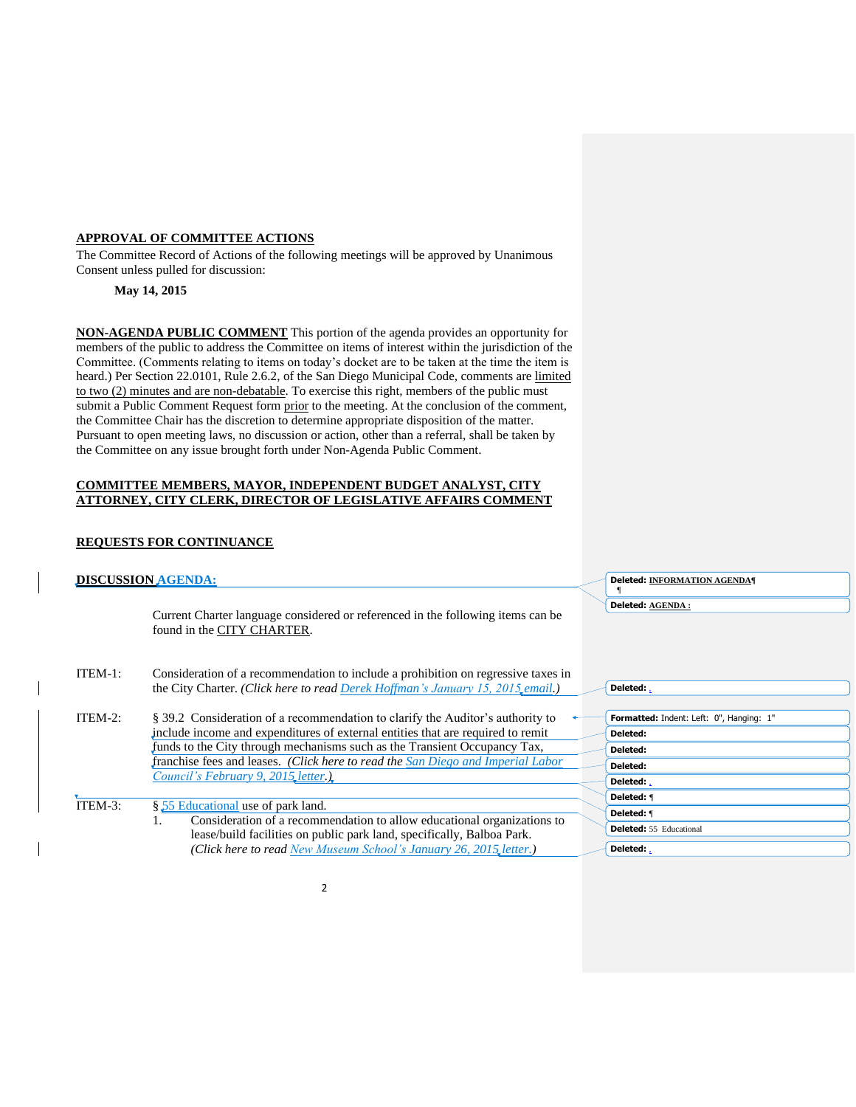## **APPROVAL OF COMMITTEE ACTIONS**

The Committee Record of Actions of the following meetings will be approved by Unanimous Consent unless pulled for discussion:

**May 14, 2015**

**NON-AGENDA PUBLIC COMMENT** This portion of the agenda provides an opportunity for members of the public to address the Committee on items of interest within the jurisdiction of the Committee. (Comments relating to items on today's docket are to be taken at the time the item is heard.) Per Section 22.0101, Rule 2.6.2, of the San Diego Municipal Code, comments are limited to two (2) minutes and are non-debatable. To exercise this right, members of the public must submit a Public Comment Request form prior to the meeting. At the conclusion of the comment, the Committee Chair has the discretion to determine appropriate disposition of the matter. Pursuant to open meeting laws, no discussion or action, other than a referral, shall be taken by the Committee on any issue brought forth under Non-Agenda Public Comment.

## **COMMITTEE MEMBERS, MAYOR, INDEPENDENT BUDGET ANALYST, CITY ATTORNEY, CITY CLERK, DIRECTOR OF LEGISLATIVE AFFAIRS COMMENT**

## **REQUESTS FOR CONTINUANCE**

| <b>DISCUSSION AGENDA:</b> |                                                                                                                                                                                                                                                                                                                                                                         |  | <b>Deleted: INFORMATION AGENDA¶</b>                                                                     |
|---------------------------|-------------------------------------------------------------------------------------------------------------------------------------------------------------------------------------------------------------------------------------------------------------------------------------------------------------------------------------------------------------------------|--|---------------------------------------------------------------------------------------------------------|
|                           | Current Charter language considered or referenced in the following items can be<br>found in the CITY CHARTER.                                                                                                                                                                                                                                                           |  | Deleted: AGENDA:                                                                                        |
| ITEM-1:                   | Consideration of a recommendation to include a prohibition on regressive taxes in<br>the City Charter. (Click here to read Derek Hoffman's January 15, 2015, email.)                                                                                                                                                                                                    |  | Deleted:                                                                                                |
| ITEM-2:                   | § 39.2 Consideration of a recommendation to clarify the Auditor's authority to<br>include income and expenditures of external entities that are required to remit<br>funds to the City through mechanisms such as the Transient Occupancy Tax,<br>franchise fees and leases. (Click here to read the San Diego and Imperial Labor<br>Council's February 9, 2015 letter. |  | Formatted: Indent: Left: 0", Hanging: 1"<br>Deleted:<br>Deleted:<br>Deleted:<br>Deleted:,<br>Deleted: f |
| ITEM-3:                   | § 55 Educational use of park land.<br>Consideration of a recommendation to allow educational organizations to<br>1.<br>lease/build facilities on public park land, specifically, Balboa Park.<br>(Click here to read New Museum School's January 26, 2015, letter.)                                                                                                     |  | Deleted: ¶<br><b>Deleted:</b> 55 Educational<br>Deleted:                                                |

2